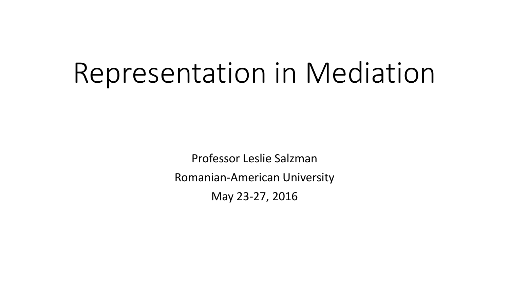# Representation in Mediation

Professor Leslie Salzman Romanian-American University May 23-27, 2016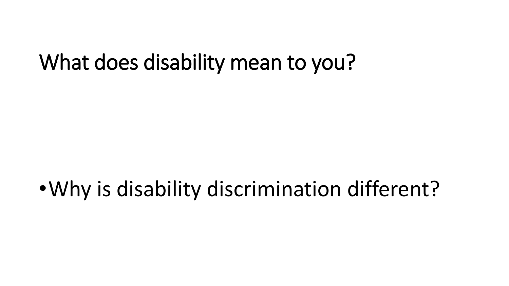#### What does disability mean to you?

# •Why is disability discrimination different?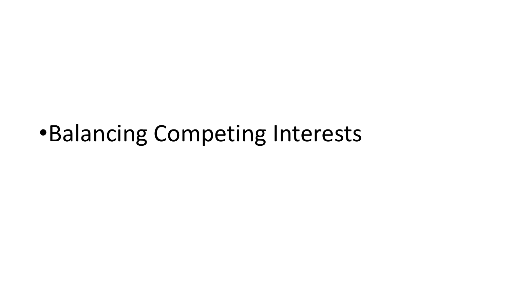# •Balancing Competing Interests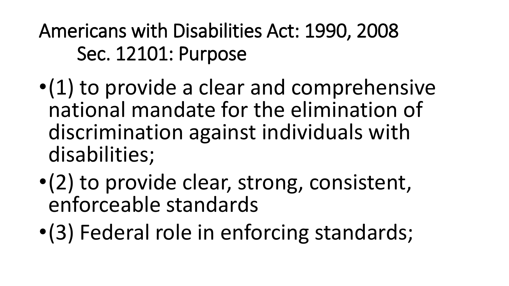Americans with Disabilities Act: 1990, 2008 Sec. 12101: Purpose

- •(1) to provide a clear and comprehensive national mandate for the elimination of discrimination against individuals with disabilities;
- •(2) to provide clear, strong, consistent, enforceable standards
- •(3) Federal role in enforcing standards;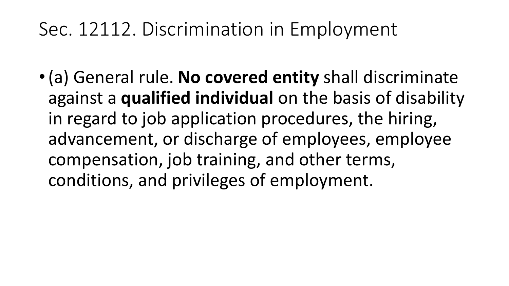#### Sec. 12112. Discrimination in Employment

•(a) General rule. **No covered entity** shall discriminate against a **qualified individual** on the basis of disability in regard to job application procedures, the hiring, advancement, or discharge of employees, employee compensation, job training, and other terms, conditions, and privileges of employment.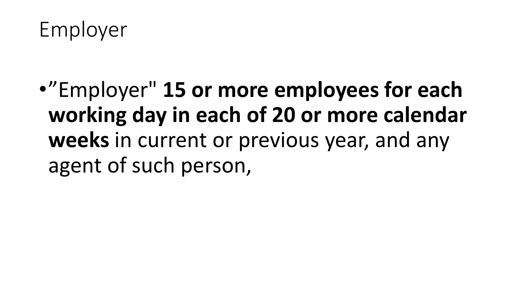Employer

•"Employer" **15 or more employees for each working day in each of 20 or more calendar weeks** in current or previous year, and any agent of such person,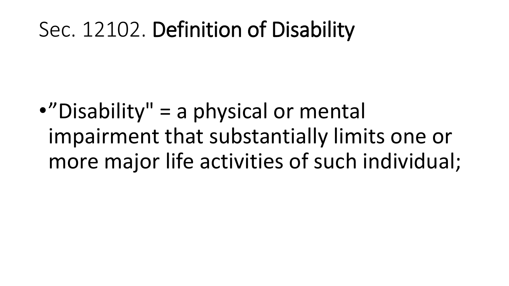#### Sec. 12102. Definition of Disability

•"Disability" = a physical or mental impairment that substantially limits one or more major life activities of such individual;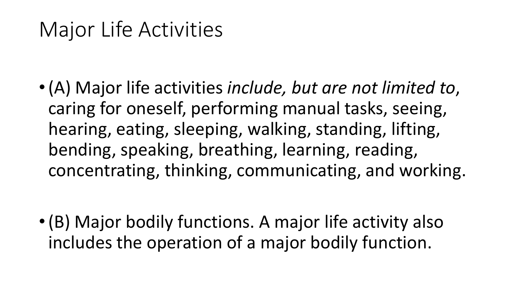## Major Life Activities

•(A) Major life activities *include, but are not limited to*, caring for oneself, performing manual tasks, seeing, hearing, eating, sleeping, walking, standing, lifting, bending, speaking, breathing, learning, reading, concentrating, thinking, communicating, and working.

•(B) Major bodily functions. A major life activity also includes the operation of a major bodily function.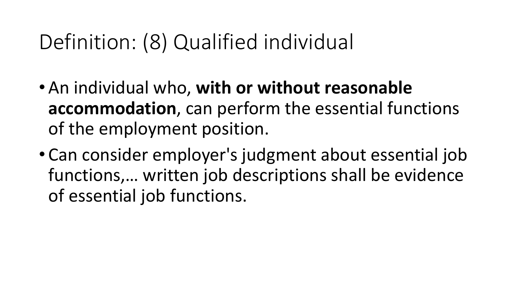# Definition: (8) Qualified individual

- An individual who, **with or without reasonable accommodation**, can perform the essential functions of the employment position.
- Can consider employer's judgment about essential job functions,… written job descriptions shall be evidence of essential job functions.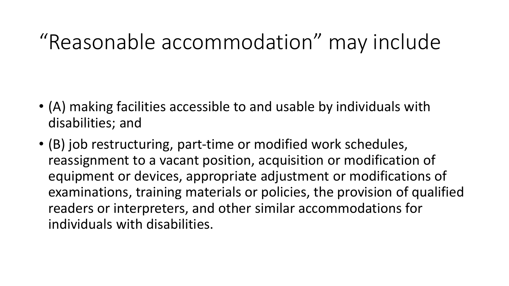# "Reasonable accommodation" may include

- (A) making facilities accessible to and usable by individuals with disabilities; and
- (B) job restructuring, part-time or modified work schedules, reassignment to a vacant position, acquisition or modification of equipment or devices, appropriate adjustment or modifications of examinations, training materials or policies, the provision of qualified readers or interpreters, and other similar accommodations for individuals with disabilities.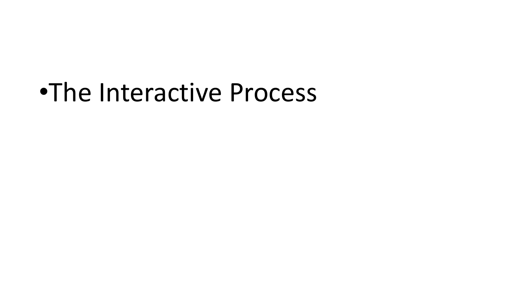# •The Interactive Process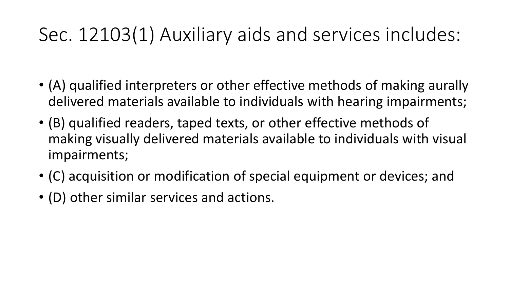#### Sec. 12103(1) Auxiliary aids and services includes:

- (A) qualified interpreters or other effective methods of making aurally delivered materials available to individuals with hearing impairments;
- (B) qualified readers, taped texts, or other effective methods of making visually delivered materials available to individuals with visual impairments;
- (C) acquisition or modification of special equipment or devices; and
- (D) other similar services and actions.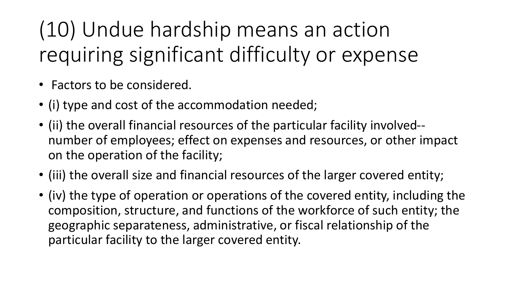(10) Undue hardship means an action requiring significant difficulty or expense

- Factors to be considered.
- (i) type and cost of the accommodation needed;
- (ii) the overall financial resources of the particular facility involved- number of employees; effect on expenses and resources, or other impact on the operation of the facility;
- (iii) the overall size and financial resources of the larger covered entity;
- (iv) the type of operation or operations of the covered entity, including the composition, structure, and functions of the workforce of such entity; the geographic separateness, administrative, or fiscal relationship of the particular facility to the larger covered entity.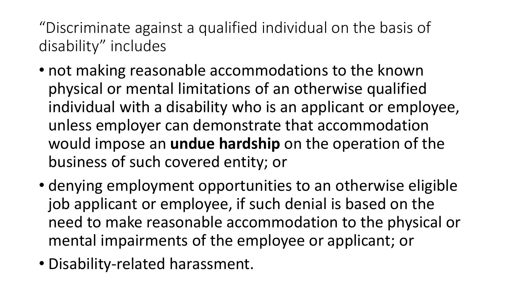"Discriminate against a qualified individual on the basis of disability" includes

- not making reasonable accommodations to the known physical or mental limitations of an otherwise qualified individual with a disability who is an applicant or employee, unless employer can demonstrate that accommodation would impose an **undue hardship** on the operation of the business of such covered entity; or
- denying employment opportunities to an otherwise eligible job applicant or employee, if such denial is based on the need to make reasonable accommodation to the physical or mental impairments of the employee or applicant; or
- Disability-related harassment.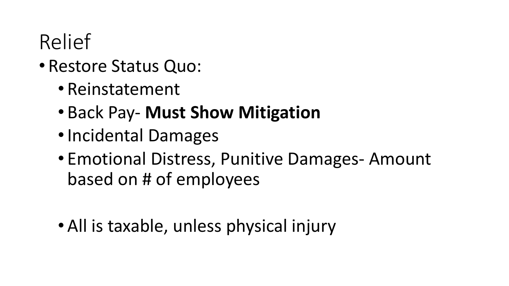# Relief

#### • Restore Status Quo:

- Reinstatement
- Back Pay- **Must Show Mitigation**
- •Incidental Damages
- Emotional Distress, Punitive Damages- Amount based on # of employees
- All is taxable, unless physical injury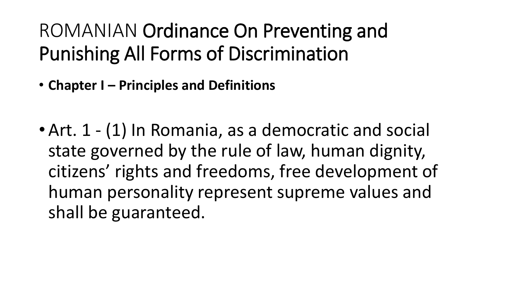#### ROMANIAN Ordinance On Preventing and Punishing All Forms of Discrimination

- **Chapter I – Principles and Definitions**
- Art. 1 (1) In Romania, as a democratic and social state governed by the rule of law, human dignity, citizens' rights and freedoms, free development of human personality represent supreme values and shall be guaranteed.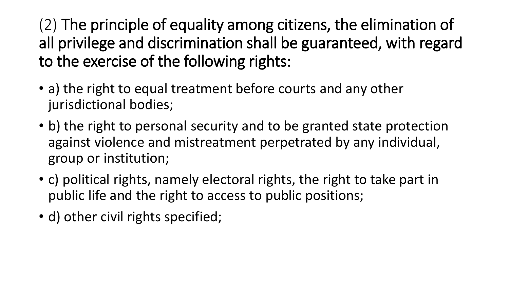(2) The principle of equality among citizens, the elimination of all privilege and discrimination shall be guaranteed, with regard to the exercise of the following rights:

- a) the right to equal treatment before courts and any other jurisdictional bodies;
- b) the right to personal security and to be granted state protection against violence and mistreatment perpetrated by any individual, group or institution;
- c) political rights, namely electoral rights, the right to take part in public life and the right to access to public positions;
- d) other civil rights specified;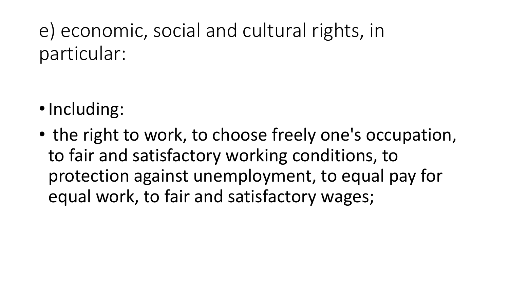e) economic, social and cultural rights, in particular:

- •Including:
- the right to work, to choose freely one's occupation, to fair and satisfactory working conditions, to protection against unemployment, to equal pay for equal work, to fair and satisfactory wages;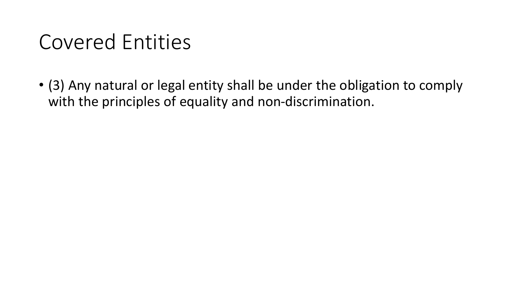# Covered Entities

• (3) Any natural or legal entity shall be under the obligation to comply with the principles of equality and non-discrimination.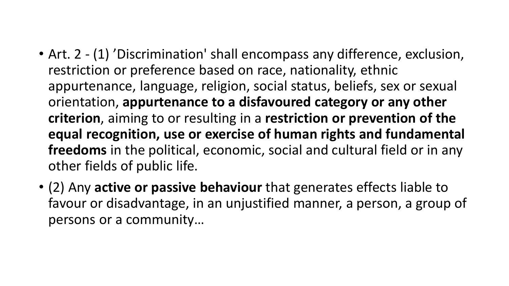- Art. 2 (1) 'Discrimination' shall encompass any difference, exclusion, restriction or preference based on race, nationality, ethnic appurtenance, language, religion, social status, beliefs, sex or sexual orientation, **appurtenance to a disfavoured category or any other criterion**, aiming to or resulting in a **restriction or prevention of the equal recognition, use or exercise of human rights and fundamental freedoms** in the political, economic, social and cultural field or in any other fields of public life.
- (2) Any **active or passive behaviour** that generates effects liable to favour or disadvantage, in an unjustified manner, a person, a group of persons or a community…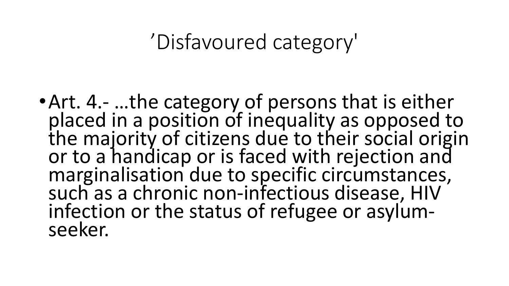#### 'Disfavoured category'

•Art. 4.- …the category of persons that is either placed in a position of inequality as opposed to the majority of citizens due to their social origin or to a handicap or is faced with rejection and marginalisation due to specific circumstances, such as a chronic non-infectious disease, HIV infection or the status of refugee or asylumseeker.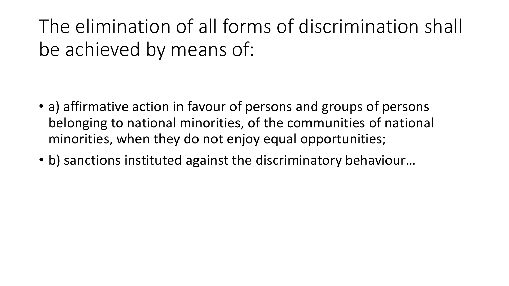The elimination of all forms of discrimination shall be achieved by means of:

- a) affirmative action in favour of persons and groups of persons belonging to national minorities, of the communities of national minorities, when they do not enjoy equal opportunities;
- b) sanctions instituted against the discriminatory behaviour...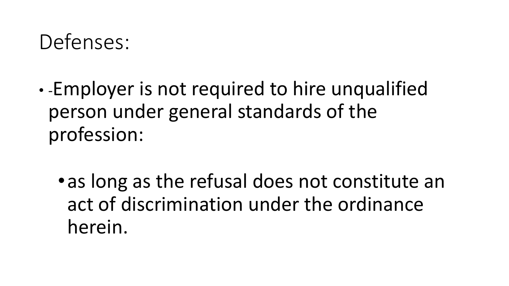### Defenses:

- -Employer is not required to hire unqualified person under general standards of the profession:
	- •as long as the refusal does not constitute an act of discrimination under the ordinance herein.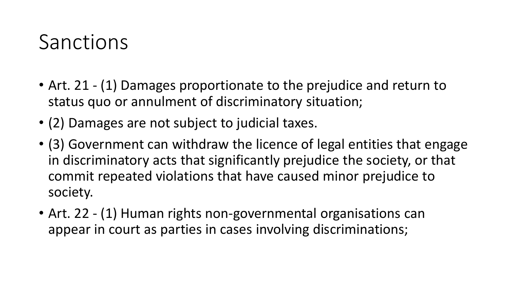#### Sanctions

- Art. 21 (1) Damages proportionate to the prejudice and return to status quo or annulment of discriminatory situation;
- (2) Damages are not subject to judicial taxes.
- (3) Government can withdraw the licence of legal entities that engage in discriminatory acts that significantly prejudice the society, or that commit repeated violations that have caused minor prejudice to society.
- Art. 22 (1) Human rights non-governmental organisations can appear in court as parties in cases involving discriminations;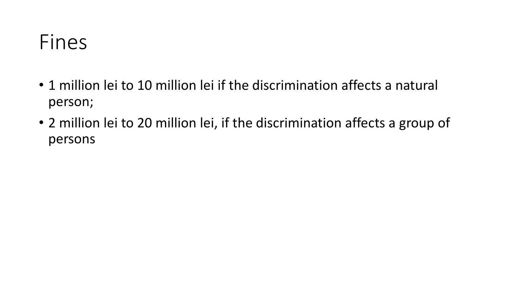#### Fines

- 1 million lei to 10 million lei if the discrimination affects a natural person;
- 2 million lei to 20 million lei, if the discrimination affects a group of persons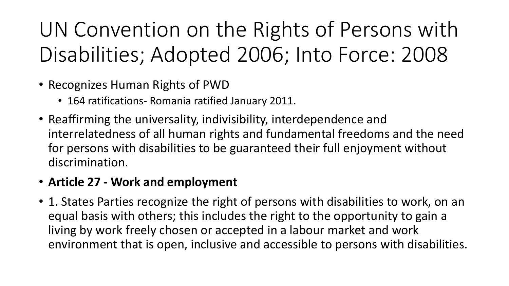UN Convention on the Rights of Persons with Disabilities; Adopted 2006; Into Force: 2008

- Recognizes Human Rights of PWD
	- 164 ratifications- Romania ratified January 2011.
- Reaffirming the universality, indivisibility, interdependence and interrelatedness of all human rights and fundamental freedoms and the need for persons with disabilities to be guaranteed their full enjoyment without discrimination.

#### • **Article 27 - Work and employment**

• 1. States Parties recognize the right of persons with disabilities to work, on an equal basis with others; this includes the right to the opportunity to gain a living by work freely chosen or accepted in a labour market and work environment that is open, inclusive and accessible to persons with disabilities.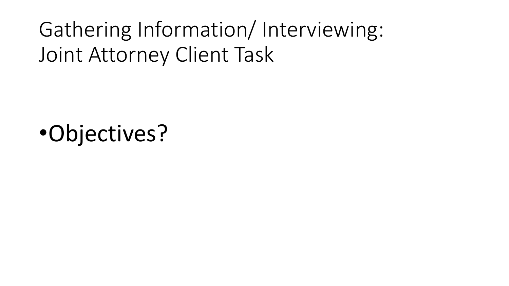Gathering Information/ Interviewing: Joint Attorney Client Task

•Objectives?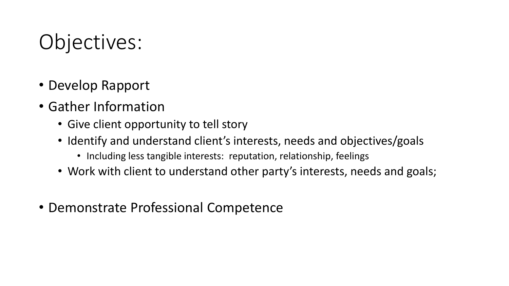# Objectives:

- Develop Rapport
- Gather Information
	- Give client opportunity to tell story
	- Identify and understand client's interests, needs and objectives/goals
		- Including less tangible interests: reputation, relationship, feelings
	- Work with client to understand other party's interests, needs and goals;
- Demonstrate Professional Competence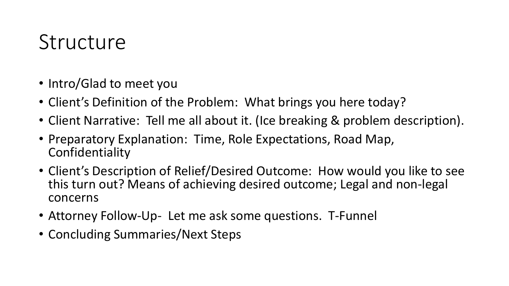#### **Structure**

- Intro/Glad to meet you
- Client's Definition of the Problem: What brings you here today?
- Client Narrative: Tell me all about it. (Ice breaking & problem description).
- Preparatory Explanation: Time, Role Expectations, Road Map, Confidentiality
- Client's Description of Relief/Desired Outcome: How would you like to see this turn out? Means of achieving desired outcome; Legal and non-legal concerns
- Attorney Follow-Up- Let me ask some questions. T-Funnel
- Concluding Summaries/Next Steps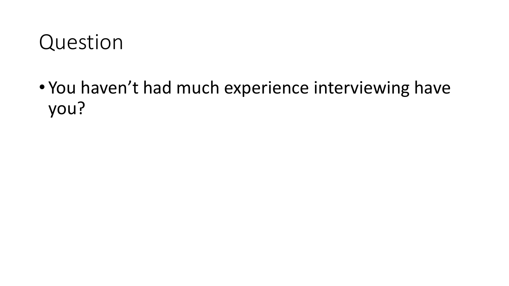#### Question

• You haven't had much experience interviewing have you?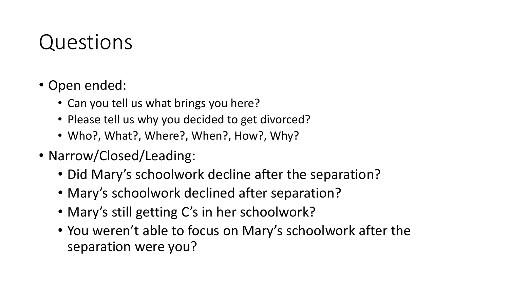# Questions

- Open ended:
	- Can you tell us what brings you here?
	- Please tell us why you decided to get divorced?
	- Who?, What?, Where?, When?, How?, Why?
- Narrow/Closed/Leading:
	- Did Mary's schoolwork decline after the separation?
	- Mary's schoolwork declined after separation?
	- Mary's still getting C's in her schoolwork?
	- You weren't able to focus on Mary's schoolwork after the separation were you?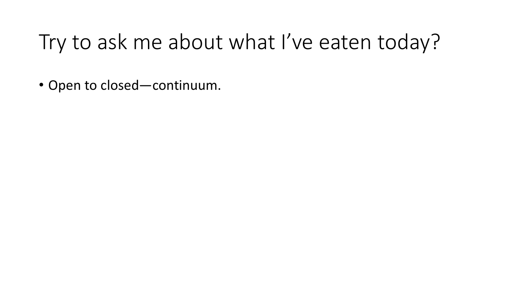# Try to ask me about what I've eaten today?

• Open to closed—continuum.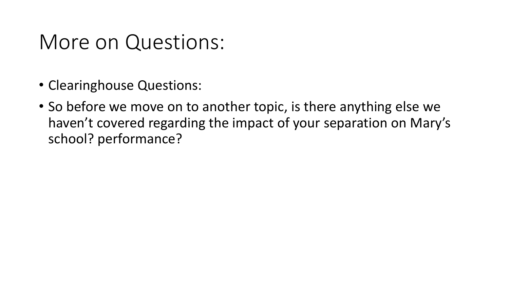#### More on Questions:

- Clearinghouse Questions:
- So before we move on to another topic, is there anything else we haven't covered regarding the impact of your separation on Mary's school? performance?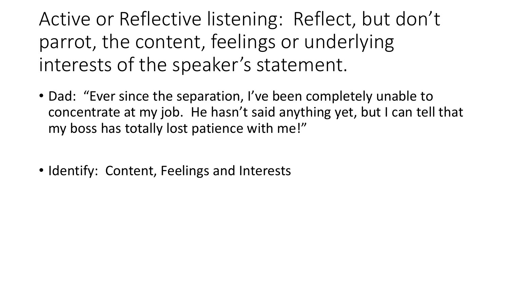Active or Reflective listening: Reflect, but don't parrot, the content, feelings or underlying interests of the speaker's statement.

- Dad: "Ever since the separation, I've been completely unable to concentrate at my job. He hasn't said anything yet, but I can tell that my boss has totally lost patience with me!"
- Identify: Content, Feelings and Interests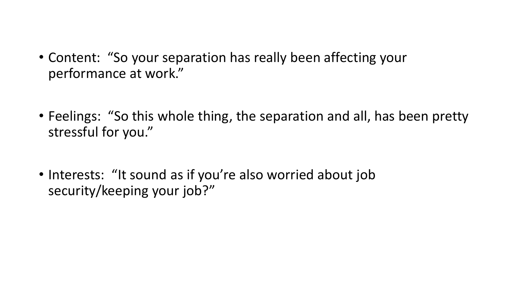- Content: "So your separation has really been affecting your performance at work."
- Feelings: "So this whole thing, the separation and all, has been pretty stressful for you."
- Interests: "It sound as if you're also worried about job security/keeping your job?"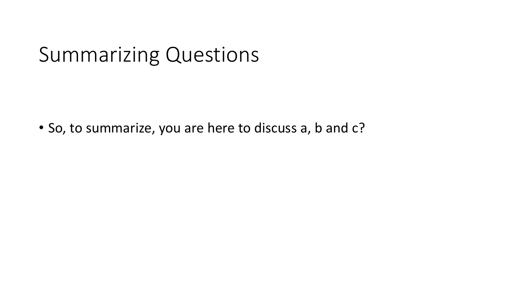#### Summarizing Questions

• So, to summarize, you are here to discuss a, b and c?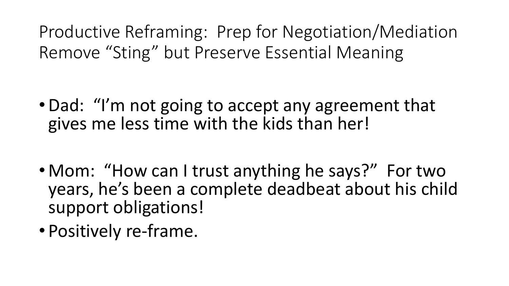Productive Reframing: Prep for Negotiation/Mediation Remove "Sting" but Preserve Essential Meaning

- •Dad: "I'm not going to accept any agreement that gives me less time with the kids than her!
- Mom: "How can I trust anything he says?" For two years, he's been a complete deadbeat about his child support obligations!
- Positively re-frame.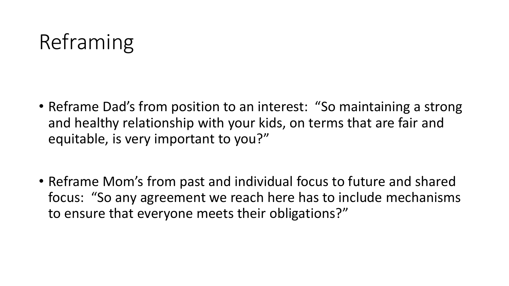# Reframing

- Reframe Dad's from position to an interest: "So maintaining a strong and healthy relationship with your kids, on terms that are fair and equitable, is very important to you?"
- Reframe Mom's from past and individual focus to future and shared focus: "So any agreement we reach here has to include mechanisms to ensure that everyone meets their obligations?"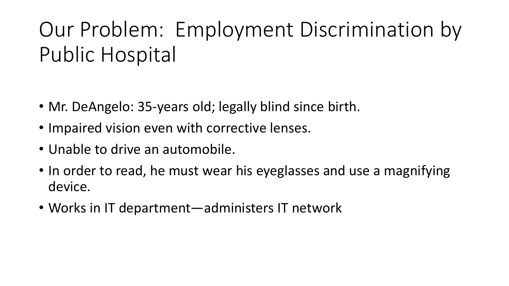# Our Problem: Employment Discrimination by Public Hospital

- Mr. DeAngelo: 35-years old; legally blind since birth.
- Impaired vision even with corrective lenses.
- Unable to drive an automobile.
- In order to read, he must wear his eyeglasses and use a magnifying device.
- Works in IT department—administers IT network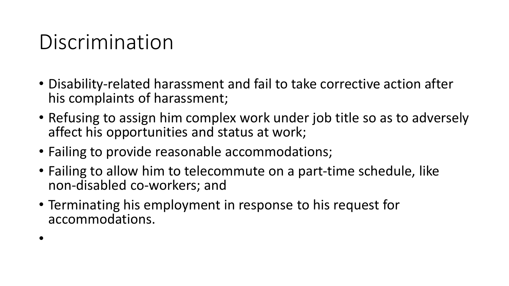# Discrimination

•

- Disability-related harassment and fail to take corrective action after his complaints of harassment;
- Refusing to assign him complex work under job title so as to adversely affect his opportunities and status at work;
- Failing to provide reasonable accommodations;
- Failing to allow him to telecommute on a part-time schedule, like non-disabled co-workers; and
- Terminating his employment in response to his request for accommodations.